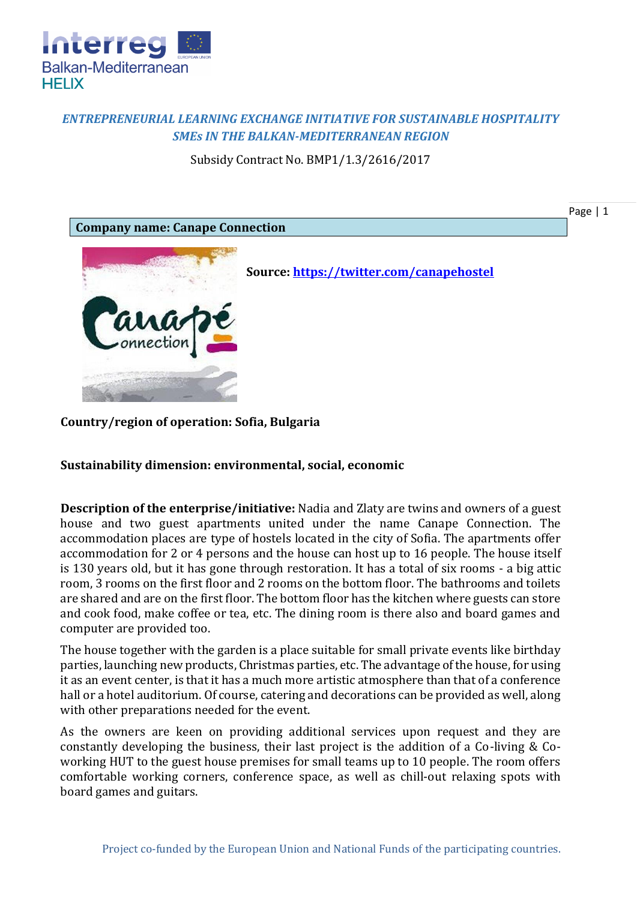

# *ENTREPRENEURIAL LEARNING EXCHANGE INITIATIVE FOR SUSTAINABLE HOSPITALITY SMEs IN THE BALKAN-MEDITERRANEAN REGION*

Subsidy Contract No. BMP1/1.3/2616/2017



**Country/region of operation: Sofia, Bulgaria**

## **Sustainability dimension: environmental, social, economic**

**Description of the enterprise/initiative:** Nadia and Zlaty are twins and owners of a guest house and two guest apartments united under the name Canape Connection. The accommodation places are type of hostels located in the city of Sofia. The apartments offer accommodation for 2 or 4 persons and the house can host up to 16 people. The house itself is 130 years old, but it has gone through restoration. It has a total of six rooms - a big attic room, 3 rooms on the first floor and 2 rooms on the bottom floor. The bathrooms and toilets are shared and are on the first floor. The bottom floor has the kitchen where guests can store and cook food, make coffee or tea, etc. The dining room is there also and board games and computer are provided too.

The house together with the garden is a place suitable for small private events like birthday parties, launching new products, Christmas parties, etc. The advantage of the house, for using it as an event center, is that it has a much more artistic atmosphere than that of a conference hall or a hotel auditorium. Of course, catering and decorations can be provided as well, along with other preparations needed for the event.

As the owners are keen on providing additional services upon request and they are constantly developing the business, their last project is the addition of a Co-living & Coworking HUT to the guest house premises for small teams up to 10 people. The room offers comfortable working corners, conference space, as well as chill-out relaxing spots with board games and guitars.